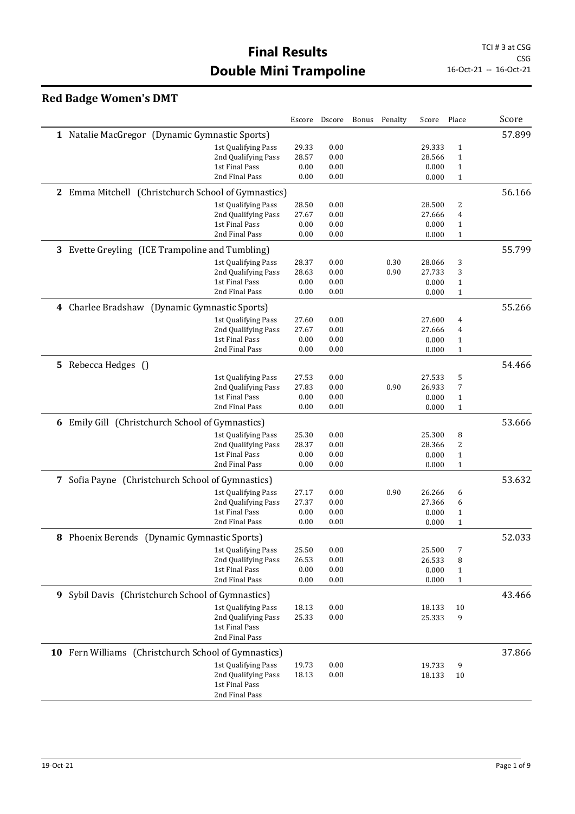## **Red Badge Women's DMT**

|   |                                                      |                                       |              | Escore Dscore | Bonus | Penalty | Score          | Place                        | Score  |
|---|------------------------------------------------------|---------------------------------------|--------------|---------------|-------|---------|----------------|------------------------------|--------|
|   | 1 Natalie MacGregor (Dynamic Gymnastic Sports)       |                                       |              |               |       |         |                |                              | 57.899 |
|   |                                                      | 1st Qualifying Pass                   | 29.33        | 0.00          |       |         | 29.333         | $\mathbf{1}$                 |        |
|   |                                                      | 2nd Qualifying Pass                   | 28.57        | 0.00          |       |         | 28.566         | $\mathbf{1}$                 |        |
|   |                                                      | 1st Final Pass                        | 0.00         | 0.00          |       |         | 0.000          | $\mathbf{1}$                 |        |
|   |                                                      | 2nd Final Pass                        | 0.00         | 0.00          |       |         | 0.000          | $\mathbf{1}$                 |        |
|   | 2 Emma Mitchell (Christchurch School of Gymnastics)  |                                       |              |               |       |         |                |                              | 56.166 |
|   |                                                      | 1st Qualifying Pass                   | 28.50        | 0.00          |       |         | 28.500         | 2                            |        |
|   |                                                      | 2nd Qualifying Pass                   | 27.67        | 0.00          |       |         | 27.666         | $\overline{4}$               |        |
|   |                                                      | 1st Final Pass                        | 0.00         | 0.00          |       |         | 0.000          | $\mathbf{1}$                 |        |
|   |                                                      | 2nd Final Pass                        | 0.00         | 0.00          |       |         | 0.000          | $\mathbf{1}$                 |        |
|   | 3 Evette Greyling (ICE Trampoline and Tumbling)      |                                       |              |               |       |         |                |                              | 55.799 |
|   |                                                      | 1st Qualifying Pass                   | 28.37        | 0.00          |       | 0.30    | 28.066         | 3                            |        |
|   |                                                      | 2nd Qualifying Pass                   | 28.63        | 0.00          |       | 0.90    | 27.733         | 3                            |        |
|   |                                                      | 1st Final Pass                        | 0.00         | 0.00          |       |         | 0.000          | $\mathbf{1}$                 |        |
|   |                                                      | 2nd Final Pass                        | 0.00         | 0.00          |       |         | 0.000          | $\mathbf{1}$                 |        |
|   | 4 Charlee Bradshaw (Dynamic Gymnastic Sports)        |                                       |              |               |       |         |                |                              | 55.266 |
|   |                                                      | 1st Qualifying Pass                   | 27.60        | 0.00          |       |         | 27.600         | 4                            |        |
|   |                                                      | 2nd Qualifying Pass                   | 27.67        | 0.00          |       |         | 27.666         | 4                            |        |
|   |                                                      | 1st Final Pass                        | 0.00         | 0.00          |       |         | 0.000          | $\mathbf{1}$                 |        |
|   |                                                      | 2nd Final Pass                        | 0.00         | 0.00          |       |         | 0.000          | $\mathbf{1}$                 |        |
|   | 5 Rebecca Hedges ()                                  |                                       |              |               |       |         |                |                              | 54.466 |
|   |                                                      | 1st Qualifying Pass                   | 27.53        | 0.00          |       |         | 27.533         | 5                            |        |
|   |                                                      | 2nd Qualifying Pass                   | 27.83        | 0.00          |       | 0.90    | 26.933         | 7                            |        |
|   |                                                      | 1st Final Pass                        | 0.00         | 0.00          |       |         | 0.000          | $\mathbf{1}$                 |        |
|   |                                                      | 2nd Final Pass                        | 0.00         | 0.00          |       |         | 0.000          | $\mathbf{1}$                 |        |
|   | 6 Emily Gill (Christchurch School of Gymnastics)     |                                       |              |               |       |         |                |                              | 53.666 |
|   |                                                      | 1st Qualifying Pass                   | 25.30        | 0.00          |       |         | 25.300         | 8                            |        |
|   |                                                      | 2nd Qualifying Pass<br>1st Final Pass | 28.37        | 0.00          |       |         | 28.366         | 2                            |        |
|   |                                                      | 2nd Final Pass                        | 0.00<br>0.00 | 0.00<br>0.00  |       |         | 0.000<br>0.000 | $\mathbf{1}$<br>$\mathbf{1}$ |        |
|   |                                                      |                                       |              |               |       |         |                |                              |        |
| 7 | Sofia Payne (Christchurch School of Gymnastics)      |                                       |              |               |       |         |                |                              | 53.632 |
|   |                                                      | 1st Qualifying Pass                   | 27.17        | 0.00          |       | 0.90    | 26.266         | 6                            |        |
|   |                                                      | 2nd Qualifying Pass                   | 27.37        | 0.00          |       |         | 27.366         | 6                            |        |
|   |                                                      | 1st Final Pass<br>2nd Final Pass      | 0.00<br>0.00 | 0.00<br>0.00  |       |         | 0.000<br>0.000 | $\mathbf 1$<br>$\mathbf{1}$  |        |
|   | 8 Phoenix Berends (Dynamic Gymnastic Sports)         |                                       |              |               |       |         |                |                              | 52.033 |
|   |                                                      | 1st Qualifying Pass                   | 25.50        | 0.00          |       |         | 25.500         | 7                            |        |
|   |                                                      | 2nd Qualifying Pass                   | 26.53        | 0.00          |       |         | 26.533         | 8                            |        |
|   |                                                      | 1st Final Pass                        | 0.00         | 0.00          |       |         | 0.000          | $\mathbf{1}$                 |        |
|   |                                                      | 2nd Final Pass                        | 0.00         | 0.00          |       |         | 0.000          | $\mathbf{1}$                 |        |
|   | 9 Sybil Davis (Christchurch School of Gymnastics)    |                                       |              |               |       |         |                |                              | 43.466 |
|   |                                                      | 1st Qualifying Pass                   | 18.13        | 0.00          |       |         | 18.133         | 10                           |        |
|   |                                                      | 2nd Qualifying Pass                   | 25.33        | 0.00          |       |         | 25.333         | 9                            |        |
|   |                                                      | 1st Final Pass                        |              |               |       |         |                |                              |        |
|   |                                                      | 2nd Final Pass                        |              |               |       |         |                |                              |        |
|   | 10 Fern Williams (Christchurch School of Gymnastics) |                                       |              |               |       |         |                |                              | 37.866 |
|   |                                                      | 1st Qualifying Pass                   | 19.73        | 0.00          |       |         | 19.733         | 9                            |        |
|   |                                                      | 2nd Qualifying Pass                   | 18.13        | 0.00          |       |         | 18.133         | 10                           |        |
|   |                                                      | 1st Final Pass                        |              |               |       |         |                |                              |        |
|   |                                                      | 2nd Final Pass                        |              |               |       |         |                |                              |        |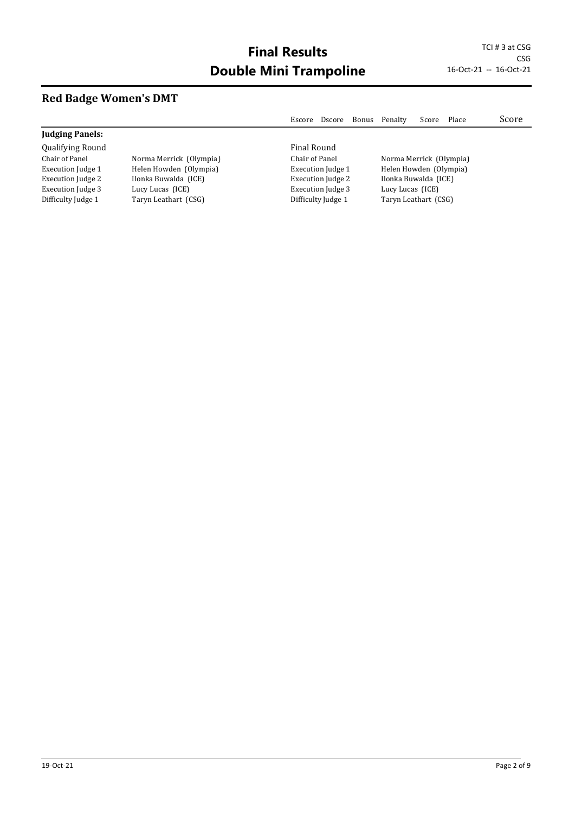## **Red Badge Women's DMT**

|                         |                         | Escore                   | Dscore | Bonus            | Penalty                 | Score | Place | Score |
|-------------------------|-------------------------|--------------------------|--------|------------------|-------------------------|-------|-------|-------|
| <b>Judging Panels:</b>  |                         |                          |        |                  |                         |       |       |       |
| <b>Qualifying Round</b> |                         | Final Round              |        |                  |                         |       |       |       |
| Chair of Panel          | Norma Merrick (Olympia) | Chair of Panel           |        |                  | Norma Merrick (Olympia) |       |       |       |
| Execution Judge 1       | Helen Howden (Olympia)  | <b>Execution Judge 1</b> |        |                  | Helen Howden (Olympia)  |       |       |       |
| Execution Judge 2       | Ilonka Buwalda (ICE)    | <b>Execution Judge 2</b> |        |                  | Ilonka Buwalda (ICE)    |       |       |       |
| Execution Judge 3       | Lucy Lucas (ICE)        | <b>Execution Judge 3</b> |        | Lucy Lucas (ICE) |                         |       |       |       |
| Difficulty Judge 1      | Taryn Leathart (CSG)    | Difficulty Judge 1       |        |                  | Taryn Leathart (CSG)    |       |       |       |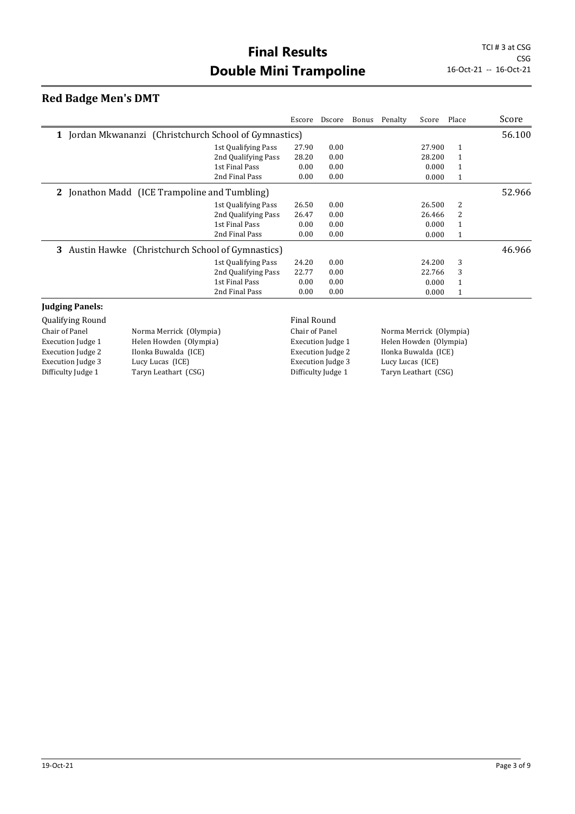#### **Red Badge Men's DMT**

|                                                            |                     | Escore | Dscore | Bonus | Penalty | Score  | Place        | Score  |
|------------------------------------------------------------|---------------------|--------|--------|-------|---------|--------|--------------|--------|
| Jordan Mkwananzi (Christchurch School of Gymnastics)<br>1  |                     |        |        |       |         |        |              | 56.100 |
|                                                            | 1st Qualifying Pass | 27.90  | 0.00   |       |         | 27.900 | $\mathbf{1}$ |        |
|                                                            | 2nd Qualifying Pass | 28.20  | 0.00   |       |         | 28.200 | $\mathbf{1}$ |        |
|                                                            | 1st Final Pass      | 0.00   | 0.00   |       |         | 0.000  | 1            |        |
|                                                            | 2nd Final Pass      | 0.00   | 0.00   |       |         | 0.000  | $\mathbf{1}$ |        |
| Jonathon Madd (ICE Trampoline and Tumbling)<br>$2^{\circ}$ |                     |        |        |       |         |        |              | 52.966 |
|                                                            | 1st Qualifying Pass | 26.50  | 0.00   |       |         | 26.500 | 2            |        |
|                                                            | 2nd Qualifying Pass | 26.47  | 0.00   |       |         | 26.466 | 2            |        |
|                                                            | 1st Final Pass      | 0.00   | 0.00   |       |         | 0.000  | $\mathbf{1}$ |        |
|                                                            | 2nd Final Pass      | 0.00   | 0.00   |       |         | 0.000  | $\mathbf{1}$ |        |
| Austin Hawke (Christchurch School of Gymnastics)<br>3      |                     |        |        |       |         |        |              | 46.966 |
|                                                            | 1st Qualifying Pass | 24.20  | 0.00   |       |         | 24.200 | 3            |        |
|                                                            | 2nd Qualifying Pass | 22.77  | 0.00   |       |         | 22.766 | 3            |        |
|                                                            | 1st Final Pass      | 0.00   | 0.00   |       |         | 0.000  | 1            |        |
|                                                            | 2nd Final Pass      | 0.00   | 0.00   |       |         | 0.000  | $\mathbf{1}$ |        |
| $\mathbf{r}$ , and $\mathbf{r}$                            |                     |        |        |       |         |        |              |        |

#### **Judging Panels:**

Qualifying Round **Final Round Final Round** Chair of Panel Norma Merrick (Olympia) Execution Judge 1 Helen Howden (Olympia) Execution Judge 2 Ilonka Buwalda (ICE)<br>Execution Judge 3 Lucy Lucas (ICE) Execution Judge 3 Difficulty Judge 1 Taryn Leathart (CSG)

Execution Judge 3

Chair of Panel Norma Merrick (Olympia) Execution Judge 1 Helen Howden (Olympia) Execution Judge 2 Ilonka Buwalda (ICE)<br>Execution Judge 3 Lucy Lucas (ICE) Difficulty Judge 1 Taryn Leathart (CSG)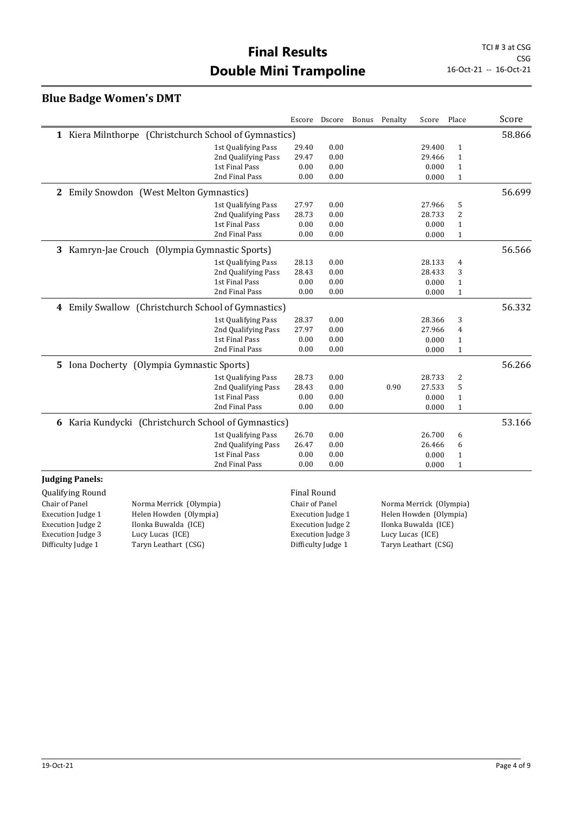## **Final Results** TCI # 3 at CSG **Double Mini Trampoline** 16-Oct-21 -- 16-Oct-21

#### **Blue Badge Women's DMT**

|                         |                                                        |                     |                    | Escore Dscore | Bonus | Penalty                 | Score  | Place        | Score  |
|-------------------------|--------------------------------------------------------|---------------------|--------------------|---------------|-------|-------------------------|--------|--------------|--------|
|                         | 1 Kiera Milnthorpe (Christchurch School of Gymnastics) |                     |                    |               |       |                         |        |              | 58.866 |
|                         |                                                        | 1st Qualifying Pass | 29.40              | 0.00          |       |                         | 29.400 | $\mathbf{1}$ |        |
|                         |                                                        | 2nd Qualifying Pass | 29.47              | 0.00          |       |                         | 29.466 | $\mathbf{1}$ |        |
|                         |                                                        | 1st Final Pass      | 0.00               | 0.00          |       |                         | 0.000  | $\mathbf{1}$ |        |
|                         |                                                        | 2nd Final Pass      | 0.00               | 0.00          |       |                         | 0.000  | $\mathbf{1}$ |        |
|                         | 2 Emily Snowdon (West Melton Gymnastics)               |                     |                    |               |       |                         |        |              | 56.699 |
|                         |                                                        | 1st Qualifying Pass | 27.97              | 0.00          |       |                         | 27.966 | 5            |        |
|                         |                                                        | 2nd Qualifying Pass | 28.73              | 0.00          |       |                         | 28.733 | 2            |        |
|                         |                                                        | 1st Final Pass      | 0.00               | 0.00          |       |                         | 0.000  | $\mathbf{1}$ |        |
|                         |                                                        | 2nd Final Pass      | 0.00               | 0.00          |       |                         | 0.000  | $\mathbf{1}$ |        |
|                         | 3 Kamryn-Jae Crouch (Olympia Gymnastic Sports)         |                     |                    |               |       |                         |        |              | 56.566 |
|                         |                                                        | 1st Qualifying Pass | 28.13              | 0.00          |       |                         | 28.133 | 4            |        |
|                         |                                                        | 2nd Qualifying Pass | 28.43              | 0.00          |       |                         | 28.433 | 3            |        |
|                         |                                                        | 1st Final Pass      | 0.00               | 0.00          |       |                         | 0.000  | $\mathbf{1}$ |        |
|                         |                                                        | 2nd Final Pass      | 0.00               | 0.00          |       |                         | 0.000  | $\mathbf{1}$ |        |
|                         | 4 Emily Swallow (Christchurch School of Gymnastics)    |                     |                    |               |       |                         |        |              | 56.332 |
|                         |                                                        | 1st Qualifying Pass | 28.37              | 0.00          |       |                         | 28.366 | 3            |        |
|                         |                                                        | 2nd Qualifying Pass | 27.97              | 0.00          |       |                         | 27.966 | 4            |        |
|                         |                                                        | 1st Final Pass      | 0.00               | 0.00          |       |                         | 0.000  | $\mathbf{1}$ |        |
|                         |                                                        | 2nd Final Pass      | 0.00               | 0.00          |       |                         | 0.000  | $\mathbf{1}$ |        |
|                         | 5 Iona Docherty (Olympia Gymnastic Sports)             |                     |                    |               |       |                         |        |              | 56.266 |
|                         |                                                        | 1st Qualifying Pass | 28.73              | 0.00          |       |                         | 28.733 | 2            |        |
|                         |                                                        | 2nd Qualifying Pass | 28.43              | 0.00          |       | 0.90                    | 27.533 | 5            |        |
|                         |                                                        | 1st Final Pass      | 0.00               | 0.00          |       |                         | 0.000  | $\mathbf{1}$ |        |
|                         |                                                        | 2nd Final Pass      | 0.00               | 0.00          |       |                         | 0.000  | $\mathbf{1}$ |        |
|                         | 6 Karia Kundycki (Christchurch School of Gymnastics)   |                     |                    |               |       |                         |        |              | 53.166 |
|                         |                                                        | 1st Qualifying Pass | 26.70              | 0.00          |       |                         | 26.700 | 6            |        |
|                         |                                                        | 2nd Qualifying Pass | 26.47              | 0.00          |       |                         | 26.466 | 6            |        |
|                         |                                                        | 1st Final Pass      | 0.00               | 0.00          |       |                         | 0.000  | $\mathbf{1}$ |        |
|                         |                                                        | 2nd Final Pass      | 0.00               | 0.00          |       |                         | 0.000  | $\mathbf{1}$ |        |
| <b>Judging Panels:</b>  |                                                        |                     |                    |               |       |                         |        |              |        |
| <b>Qualifying Round</b> |                                                        |                     | <b>Final Round</b> |               |       |                         |        |              |        |
| Chair of Panel          | Norma Merrick (Olympia)                                |                     | Chair of Panel     |               |       | Norma Merrick (Olympia) |        |              |        |

Execution Judge 1 Helen Howden (Olympia)<br>Execution Judge 2 Ilonka Buwalda (ICE) Ilonka Buwalda (ICE)<br>Lucy Lucas (ICE) Execution Judge 3<br>Difficulty Judge 1 Taryn Leathart (CSG)

Chair of Panel Norma Merrick (Olympia)<br>Execution Judge 1 Helen Howden (Olympia) Execution Judge 1 Helen Howden (Olympia)<br>Execution Judge 2 Ilonka Buwalda (ICE) Ilonka Buwalda (ICE)<br>Lucy Lucas (ICE) Execution Judge 3<br>Difficulty Judge 1 Taryn Leathart (CSG)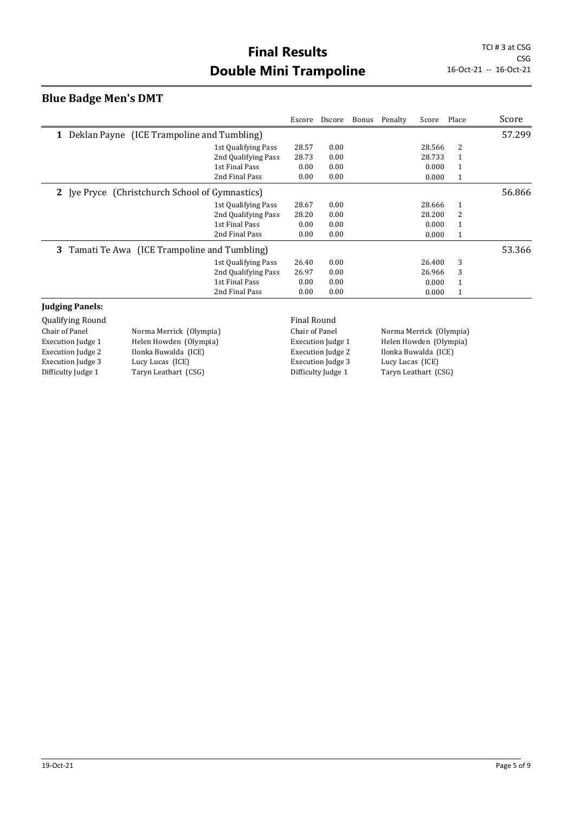## **Final Results** TCI # 3 at CSG **Double Mini Trampoline** 16-Oct-21 -- 16-Oct-21

#### **Blue Badge Men's DMT**

|                                                 |                     |       | Escore Dscore | Bonus Penalty | Score Place |              | Score  |
|-------------------------------------------------|---------------------|-------|---------------|---------------|-------------|--------------|--------|
| 1 Deklan Payne (ICE Trampoline and Tumbling)    |                     |       |               |               |             |              | 57.299 |
|                                                 | 1st Qualifying Pass | 28.57 | 0.00          |               | 28.566      | 2            |        |
|                                                 | 2nd Qualifying Pass | 28.73 | 0.00          |               | 28.733      | 1            |        |
|                                                 | 1st Final Pass      | 0.00  | 0.00          |               | 0.000       | 1            |        |
|                                                 | 2nd Final Pass      | 0.00  | 0.00          |               | 0.000       | $\mathbf{1}$ |        |
| 2 Jye Pryce (Christchurch School of Gymnastics) |                     |       |               |               |             |              | 56.866 |
|                                                 | 1st Qualifying Pass | 28.67 | 0.00          |               | 28.666      | 1            |        |
|                                                 | 2nd Qualifying Pass | 28.20 | 0.00          |               | 28.200      | 2            |        |
|                                                 | 1st Final Pass      | 0.00  | 0.00          |               | 0.000       | 1            |        |
|                                                 | 2nd Final Pass      | 0.00  | 0.00          |               | 0.000       | 1            |        |
| 3 Tamati Te Awa (ICE Trampoline and Tumbling)   |                     |       |               |               |             |              | 53.366 |
|                                                 | 1st Qualifying Pass | 26.40 | 0.00          |               | 26.400      | 3            |        |
|                                                 | 2nd Qualifying Pass | 26.97 | 0.00          |               | 26.966      | 3            |        |
|                                                 | 1st Final Pass      | 0.00  | 0.00          |               | 0.000       | 1            |        |
|                                                 | 2nd Final Pass      | 0.00  | 0.00          |               | 0.000       | 1            |        |
|                                                 |                     |       |               |               |             |              |        |

#### **Judging Panels:**

Qualifying Round **Final Round Final Round** Chair of Panel Norma Merrick (Olympia) Execution Judge 1 Helen Howden (Olympia) Execution Judge 2 Ilonka Buwalda (ICE)<br>Execution Judge 3 Lucy Lucas (ICE) Execution Judge 3 Difficulty Judge 1 Taryn Leathart (CSG)

Execution Judge 3

Chair of Panel Norma Merrick (Olympia) Execution Judge 1 Helen Howden (Olympia) Execution Judge 2 Ilonka Buwalda (ICE)<br>Execution Judge 3 Lucy Lucas (ICE) Difficulty Judge 1 Taryn Leathart (CSG)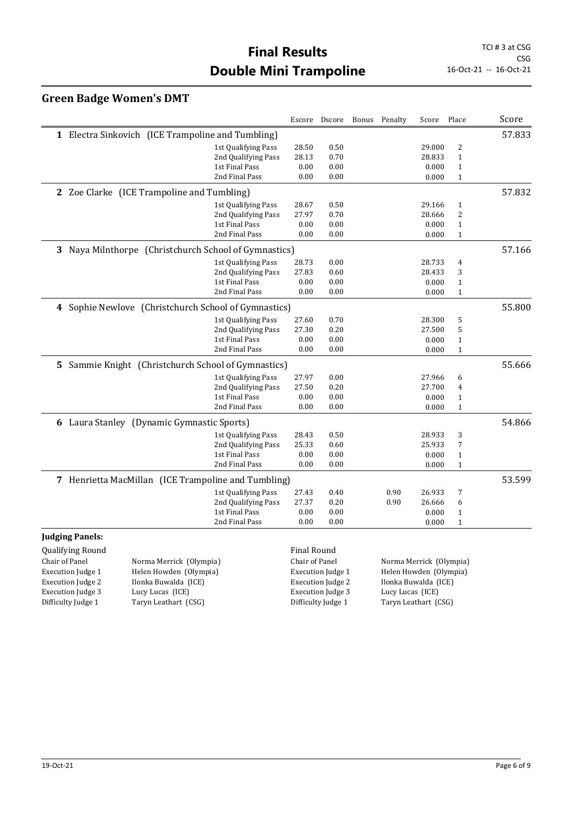## **Final Results** TCI # 3 at CSG **Double Mini Trampoline** 16-Oct-21 -- 16-Oct-21

## **Green Badge Women's DMT**

|                                                          |                     | Escore | Dscore | Bonus | Penalty | Score  | Place        | Score  |
|----------------------------------------------------------|---------------------|--------|--------|-------|---------|--------|--------------|--------|
| 1 Electra Sinkovich (ICE Trampoline and Tumbling)        |                     |        |        |       |         |        |              | 57.833 |
|                                                          | 1st Qualifying Pass | 28.50  | 0.50   |       |         | 29.000 | 2            |        |
|                                                          | 2nd Qualifying Pass | 28.13  | 0.70   |       |         | 28.833 | $\mathbf{1}$ |        |
|                                                          | 1st Final Pass      | 0.00   | 0.00   |       |         | 0.000  | $\mathbf{1}$ |        |
|                                                          | 2nd Final Pass      | 0.00   | 0.00   |       |         | 0.000  | $\mathbf{1}$ |        |
| 2 Zoe Clarke (ICE Trampoline and Tumbling)               |                     |        |        |       |         |        |              | 57.832 |
|                                                          | 1st Qualifying Pass | 28.67  | 0.50   |       |         | 29.166 | $\mathbf{1}$ |        |
|                                                          | 2nd Qualifying Pass | 27.97  | 0.70   |       |         | 28.666 | 2            |        |
|                                                          | 1st Final Pass      | 0.00   | 0.00   |       |         | 0.000  | $\mathbf{1}$ |        |
|                                                          | 2nd Final Pass      | 0.00   | 0.00   |       |         | 0.000  | $\mathbf{1}$ |        |
| Naya Milnthorpe (Christchurch School of Gymnastics)<br>3 |                     |        |        |       |         |        |              | 57.166 |
|                                                          | 1st Qualifying Pass | 28.73  | 0.00   |       |         | 28.733 | 4            |        |
|                                                          | 2nd Qualifying Pass | 27.83  | 0.60   |       |         | 28.433 | 3            |        |
|                                                          | 1st Final Pass      | 0.00   | 0.00   |       |         | 0.000  | $\mathbf{1}$ |        |
|                                                          | 2nd Final Pass      | 0.00   | 0.00   |       |         | 0.000  | $\mathbf{1}$ |        |
| 4 Sophie Newlove (Christchurch School of Gymnastics)     |                     |        |        |       |         | 55.800 |              |        |
|                                                          | 1st Qualifying Pass | 27.60  | 0.70   |       |         | 28.300 | 5            |        |
|                                                          | 2nd Qualifying Pass | 27.30  | 0.20   |       |         | 27.500 | 5            |        |
|                                                          | 1st Final Pass      | 0.00   | 0.00   |       |         | 0.000  | $\mathbf{1}$ |        |
|                                                          | 2nd Final Pass      | 0.00   | 0.00   |       |         | 0.000  | $\mathbf{1}$ |        |
| 5 Sammie Knight (Christchurch School of Gymnastics)      |                     |        |        |       |         |        |              | 55.666 |
|                                                          | 1st Qualifying Pass | 27.97  | 0.00   |       |         | 27.966 | 6            |        |
|                                                          | 2nd Qualifying Pass | 27.50  | 0.20   |       |         | 27.700 | 4            |        |
|                                                          | 1st Final Pass      | 0.00   | 0.00   |       |         | 0.000  | $\mathbf{1}$ |        |
|                                                          | 2nd Final Pass      | 0.00   | 0.00   |       |         | 0.000  | $\mathbf{1}$ |        |
| 6 Laura Stanley (Dynamic Gymnastic Sports)               |                     |        |        |       |         |        |              | 54.866 |
|                                                          | 1st Qualifying Pass | 28.43  | 0.50   |       |         | 28.933 | 3            |        |
|                                                          | 2nd Qualifying Pass | 25.33  | 0.60   |       |         | 25.933 | 7            |        |
|                                                          | 1st Final Pass      | 0.00   | 0.00   |       |         | 0.000  | $\mathbf{1}$ |        |
|                                                          | 2nd Final Pass      | 0.00   | 0.00   |       |         | 0.000  | $\mathbf{1}$ |        |
| 7 Henrietta MacMillan (ICE Trampoline and Tumbling)      |                     |        |        |       |         |        |              | 53.599 |
|                                                          | 1st Qualifying Pass | 27.43  | 0.40   |       | 0.90    | 26.933 | 7            |        |
|                                                          | 2nd Qualifying Pass | 27.37  | 0.20   |       | 0.90    | 26.666 | 6            |        |
|                                                          | 1st Final Pass      | 0.00   | 0.00   |       |         | 0.000  | $\mathbf{1}$ |        |
|                                                          | 2nd Final Pass      | 0.00   | 0.00   |       |         | 0.000  | $\mathbf{1}$ |        |

#### **Judging Panels:**

Qualifying Round **Final Round Final Round** Execution Judge 2 Ilonka Buwalda (ICE) Execution Judge 3 Lucy Lucas (ICE)

Chair of Panel Norma Merrick (Olympia) Execution Judge 1 Helen Howden (Olympia) Difficulty Judge 1 Taryn Leathart (CSG)

Chair of Panel Norma Merrick (Olympia)<br>Execution Judge 1 Helen Howden (Olympia) Helen Howden (Olympia) Execution Judge 2 Ilonka Buwalda (ICE) Execution Judge 3 Lucy Lucas (ICE) Difficulty Judge 1 Taryn Leathart (CSG)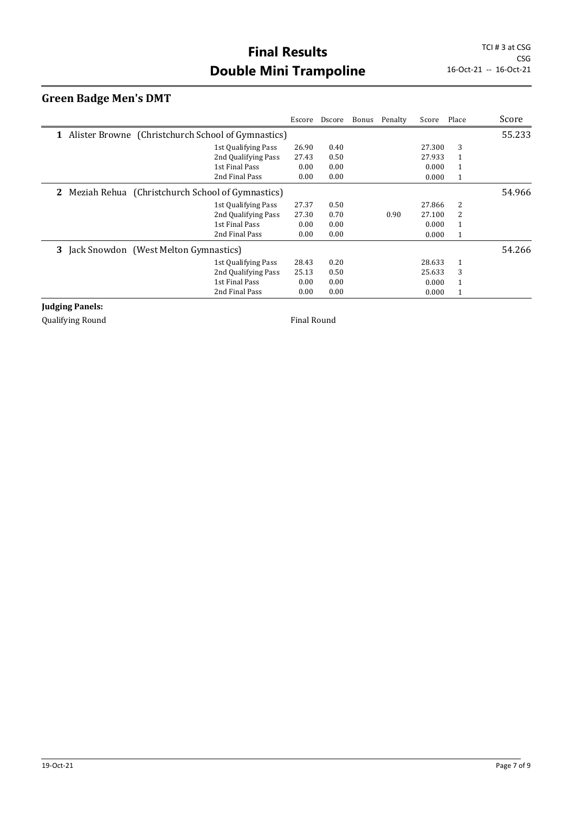## **Green Badge Men's DMT**

|                                                           |                     | Escore | Dscore | Bonus Penalty | Score  | Place        | Score  |
|-----------------------------------------------------------|---------------------|--------|--------|---------------|--------|--------------|--------|
| 1 Alister Browne (Christchurch School of Gymnastics)      |                     |        |        |               |        |              | 55.233 |
|                                                           | 1st Qualifying Pass | 26.90  | 0.40   |               | 27.300 | 3            |        |
|                                                           | 2nd Qualifying Pass | 27.43  | 0.50   |               | 27.933 | 1            |        |
|                                                           | 1st Final Pass      | 0.00   | 0.00   |               | 0.000  | 1            |        |
|                                                           | 2nd Final Pass      | 0.00   | 0.00   |               | 0.000  | $\mathbf{1}$ |        |
| <b>2</b> Meziah Rehua (Christchurch School of Gymnastics) |                     |        |        |               |        |              | 54.966 |
|                                                           | 1st Qualifying Pass | 27.37  | 0.50   |               | 27.866 | 2            |        |
|                                                           | 2nd Qualifying Pass | 27.30  | 0.70   | 0.90          | 27.100 | 2            |        |
|                                                           | 1st Final Pass      | 0.00   | 0.00   |               | 0.000  | 1            |        |
|                                                           | 2nd Final Pass      | 0.00   | 0.00   |               | 0.000  | 1            |        |
| 3<br>Jack Snowdon (West Melton Gymnastics)                |                     |        |        |               |        |              | 54.266 |
|                                                           | 1st Qualifying Pass | 28.43  | 0.20   |               | 28.633 | 1            |        |
|                                                           | 2nd Qualifying Pass | 25.13  | 0.50   |               | 25.633 | 3            |        |
|                                                           | 1st Final Pass      | 0.00   | 0.00   |               | 0.000  | 1            |        |
|                                                           | 2nd Final Pass      | 0.00   | 0.00   |               | 0.000  | 1            |        |

**Judging Panels:**

Qualifying Round **Final Round Final Round**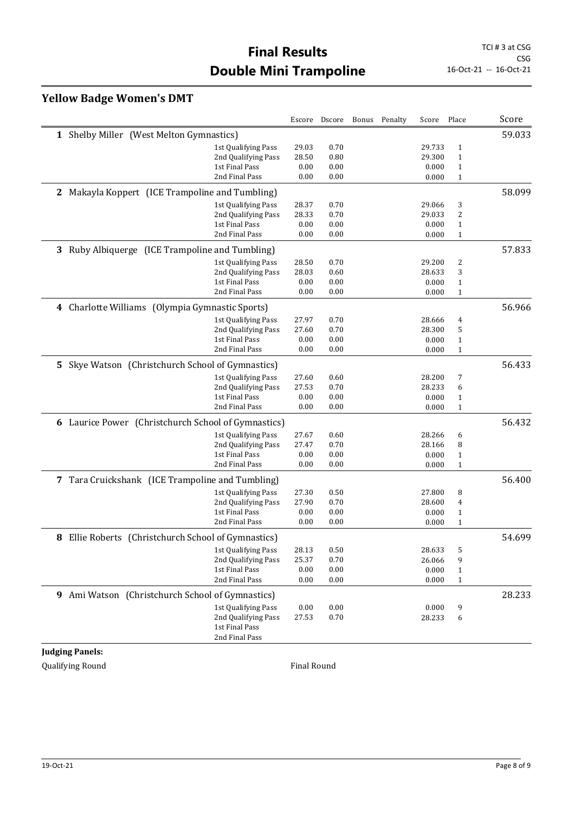## **Yellow Badge Women's DMT**

|                                                       |                     | Escore | Dscore | Bonus | Penalty | Score  | Place        | Score  |
|-------------------------------------------------------|---------------------|--------|--------|-------|---------|--------|--------------|--------|
| 1 Shelby Miller (West Melton Gymnastics)              |                     |        |        |       |         |        |              | 59.033 |
|                                                       | 1st Qualifying Pass | 29.03  | 0.70   |       |         | 29.733 | $\mathbf{1}$ |        |
|                                                       | 2nd Qualifying Pass | 28.50  | 0.80   |       |         | 29.300 | $\mathbf{1}$ |        |
|                                                       | 1st Final Pass      | 0.00   | 0.00   |       |         | 0.000  | $\mathbf{1}$ |        |
|                                                       | 2nd Final Pass      | 0.00   | 0.00   |       |         | 0.000  | $\mathbf{1}$ |        |
| 2 Makayla Koppert (ICE Trampoline and Tumbling)       |                     |        |        |       |         |        |              | 58.099 |
|                                                       | 1st Qualifying Pass | 28.37  | 0.70   |       |         | 29.066 | 3            |        |
|                                                       | 2nd Qualifying Pass | 28.33  | 0.70   |       |         | 29.033 | 2            |        |
|                                                       | 1st Final Pass      | 0.00   | 0.00   |       |         | 0.000  | $\mathbf{1}$ |        |
|                                                       | 2nd Final Pass      | 0.00   | 0.00   |       |         | 0.000  | $\mathbf{1}$ |        |
| 3 Ruby Albiquerge (ICE Trampoline and Tumbling)       |                     |        |        |       |         |        |              | 57.833 |
|                                                       | 1st Qualifying Pass | 28.50  | 0.70   |       |         | 29.200 | 2            |        |
|                                                       | 2nd Qualifying Pass | 28.03  | 0.60   |       |         | 28.633 | 3            |        |
|                                                       | 1st Final Pass      | 0.00   | 0.00   |       |         | 0.000  | $\mathbf{1}$ |        |
|                                                       | 2nd Final Pass      | 0.00   | 0.00   |       |         | 0.000  | $\mathbf{1}$ |        |
| 4 Charlotte Williams (Olympia Gymnastic Sports)       |                     |        |        |       |         |        |              | 56.966 |
|                                                       | 1st Qualifying Pass | 27.97  | 0.70   |       |         | 28.666 | 4            |        |
|                                                       | 2nd Qualifying Pass | 27.60  | 0.70   |       |         | 28.300 | 5            |        |
|                                                       | 1st Final Pass      | 0.00   | 0.00   |       |         | 0.000  | $\mathbf{1}$ |        |
|                                                       | 2nd Final Pass      | 0.00   | 0.00   |       |         | 0.000  | $\mathbf{1}$ |        |
| Skye Watson (Christchurch School of Gymnastics)<br>5. |                     |        |        |       |         |        |              | 56.433 |
|                                                       | 1st Qualifying Pass | 27.60  | 0.60   |       |         | 28.200 | 7            |        |
|                                                       | 2nd Qualifying Pass | 27.53  | 0.70   |       |         | 28.233 | 6            |        |
|                                                       | 1st Final Pass      | 0.00   | 0.00   |       |         | 0.000  | $\mathbf{1}$ |        |
|                                                       | 2nd Final Pass      | 0.00   | 0.00   |       |         | 0.000  | $\mathbf{1}$ |        |
| 6 Laurice Power (Christchurch School of Gymnastics)   |                     |        |        |       |         |        |              | 56.432 |
|                                                       | 1st Qualifying Pass | 27.67  | 0.60   |       |         | 28.266 | 6            |        |
|                                                       | 2nd Qualifying Pass | 27.47  | 0.70   |       |         | 28.166 | 8            |        |
|                                                       | 1st Final Pass      | 0.00   | 0.00   |       |         | 0.000  | $\mathbf{1}$ |        |
|                                                       | 2nd Final Pass      | 0.00   | 0.00   |       |         | 0.000  | $\mathbf{1}$ |        |
| 7 Tara Cruickshank (ICE Trampoline and Tumbling)      |                     |        |        |       |         |        |              | 56.400 |
|                                                       | 1st Qualifying Pass | 27.30  | 0.50   |       |         | 27.800 | 8            |        |
|                                                       | 2nd Qualifying Pass | 27.90  | 0.70   |       |         | 28.600 | 4            |        |
|                                                       | 1st Final Pass      | 0.00   | 0.00   |       |         | 0.000  | $\mathbf{1}$ |        |
|                                                       | 2nd Final Pass      | 0.00   | 0.00   |       |         | 0.000  | $\mathbf{1}$ |        |
| 8 Ellie Roberts (Christchurch School of Gymnastics)   |                     |        |        |       |         |        |              | 54.699 |
|                                                       | 1st Qualifying Pass | 28.13  | 0.50   |       |         | 28.633 | 5            |        |
|                                                       | 2nd Qualifying Pass | 25.37  | 0.70   |       |         | 26.066 | 9            |        |
|                                                       | 1st Final Pass      | 0.00   | 0.00   |       |         | 0.000  | $\mathbf{1}$ |        |
|                                                       | 2nd Final Pass      | 0.00   | 0.00   |       |         | 0.000  | $\mathbf{1}$ |        |
| 9 Ami Watson (Christchurch School of Gymnastics)      |                     |        |        |       |         |        |              | 28.233 |
|                                                       | 1st Qualifying Pass | 0.00   | 0.00   |       |         | 0.000  | 9            |        |
|                                                       | 2nd Qualifying Pass | 27.53  | 0.70   |       |         | 28.233 | 6            |        |
|                                                       | 1st Final Pass      |        |        |       |         |        |              |        |
|                                                       | 2nd Final Pass      |        |        |       |         |        |              |        |

**Judging Panels:**

Qualifying Round **Final Round Final Round**